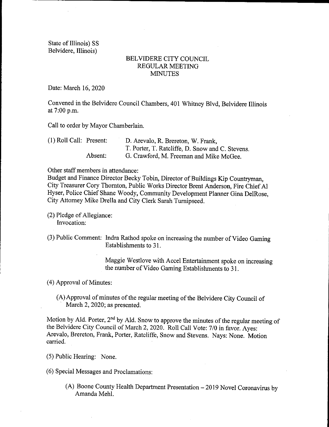State of Illinois) SS Belvidere, Illinois)

## BELVIDERE CITY COUNCIL REGULAR MEETING **MINUTES**

Date: March 16, 2020

Convened in the Belvidere Council Chambers, 401 Whitney Blvd, Belvidere Illinois at 7:00 p.m.

Call to order by Mayor Chamberlain.

| $(1)$ Roll Call: Present: |         | D. Arevalo, R. Brereton, W. Frank,               |
|---------------------------|---------|--------------------------------------------------|
|                           |         | T. Porter, T. Ratcliffe, D. Snow and C. Stevens. |
|                           | Absent: | G. Crawford, M. Freeman and Mike McGee.          |

Other staff members in attendance:

Budget and Finance Director Becky Tobin, Director of Buildings Kip Countryman, City Treasurer Cory Thornton, Public Works Director Brent Anderson, Fire Chief Al Hyser, Police Chief Shane Woody, Community Development Planner Gina DelRose, City Attorney Mike Drella and City Clerk Sarah Turnipseed.

2) Pledge of Allegiance: Invocation:

3) Public Comment: Indra Rathod spoke on increasing the number of Video Gaming Establishments to 31.

> Maggie Westlove with Accel Entertainment spoke on increasing the number of Video Gaming Establishments to 31.

4) Approval of Minutes:

A)Approval of minutes of the regular meeting of the Belvidere City Council of March 2, 2020; as presented.

Motion by Ald. Porter,  $2<sup>nd</sup>$  by Ald. Snow to approve the minutes of the regular meeting of the Belvidere City Council of March 2, 2020. Roll Call Vote: 7/0 in favor. Ayes: Arevalo, Brereton, Frank, Porter, Ratcliffe, Snow and Stevens. Nays: None. Motion carried.

5) Public Hearing: None.

6) Special Messages and Proclamations:

A) Boone County Health Department Presentation— 2019 Novel Coronavirus by Amanda Mehl.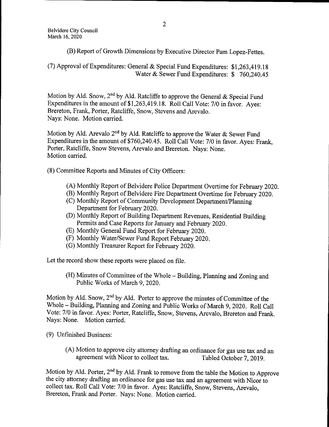B) Report of Growth Dimensions by Executive Director Pam Lopez-Fettes.

7) Approval of Expenditures: General & Special Fund Expenditures: \$ 1, 263, 419. <sup>18</sup> Water & Sewer Fund Expenditures: \$760,240.45

Motion by Ald. Snow,  $2^{nd}$  by Ald. Ratcliffe to approve the General & Special Fund Expenditures in the amount of \$1,263,419.18. Roll Call Vote: 7/0 in favor. Ayes: Brereton, Frank, Porter, Ratcliffe, Snow, Stevens and Arevalo. Nays: None. Motion carried.

Motion by Ald. Arevalo  $2^{nd}$  by Ald. Ratcliffe to approve the Water & Sewer Fund Expenditures in the amount of \$760, 240. 45. Roll Call Vote: 7/0 in favor. Ayes: Frank, Porter, Ratcliffe, Snow Stevens, Arevalo and Brereton. Nays: None. Motion carried.

8) Committee Reports and Minutes of City Officers:

- A) Monthly Report of Belvidere Police Department Overtime for February 2020.
- B) Monthly Report of Belvidere Fire Department Overtime for February 2020.
- C) Monthly Report of Community Development Department/ Planning Department for February 2020.
- D) Monthly Report of Building Department Revenues, Residential Building Permits and Case Reports for January and February 2020.
- E) Monthly General Fund Report for February 2020.
- F) Monthly Water/Sewer Fund Report February 2020.
- G) Monthly Treasurer Report for February 2020.

Let the record show these reports were placed on file.

H) Minutes of Committee of the Whole— Building, Planning and Zoning and Public Works of March 9, 2020.

Motion by Ald. Snow, 2nd by Ald. Porter to approve the minutes of Committee of the Whole— Building, Planning and Zoning and Public Works of March 9, 2020. Roll Call Vote: 7/0 in favor. Ayes: Porter, Ratcliffe, Snow, Stevens, Arevalo, Brereton and Frank. Nays: None. Motion carried.

9) Unfinished Business:

A) Motion to approve city attorney drafting an ordinance for gas use tax and an agreement with Nicor to collect tax.

Motion by Ald. Porter, 2<sup>nd</sup> by Ald. Frank to remove from the table the Motion to Approve the city attorney drafting an ordinance for gas use tax and an agreement with Nicor to collect tax. Roll Call Vote: 7/0 in favor. Ayes: Ratcliffe, Snow, Stevens, Arevalo, Brereton, Frank and Porter. Nays: None. Motion carried.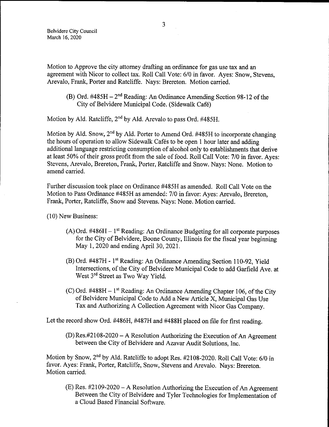Motion to Approve the city attorney drafting an ordinance for gas use tax and an agreement with Nicor to collect tax. Roll Call Vote: 6/0 in favor. Ayes: Snow, Stevens, Arevalo, Frank, Porter and Ratcliffe. Nays: Brereton. Motion carried.

(B) Ord.  $\#485H - 2^{nd}$  Reading: An Ordinance Amending Section 98-12 of the City of Belvidere Municipal Code. ( Sidewalk Cafe)

Motion by Ald. Ratcliffe,  $2<sup>nd</sup>$  by Ald. Arevalo to pass Ord. #485H.

Motion by Ald. Snow,  $2<sup>nd</sup>$  by Ald. Porter to Amend Ord. #485H to incorporate changing the hours of operation to allow Sidewalk Cafés to be open 1 hour later and adding additional language restricting consumption of alcohol only to establishments that derive at least 50% of their gross profit from the sale of food. Roll Call Vote: 7/0 in favor. Ayes: Stevens, Arevalo, Brereton, Frank, Porter, Ratcliffe and Snow. Nays: None. Motion to amend carried.

Further discussion took place on Ordinance #485H as amended. Roll Call Vote on the Motion to Pass Ordinance # 485H as amended: 7/0 in favor: Ayes: Arevalo, Brereton, Frank, Porter, Ratcliffe, Snow and Stevens. Nays: None. Motion carried.

10) New Business:

- $(A)$  Ord. #486H 1<sup>st</sup> Reading: An Ordinance Budgeting for all corporate purposes for the City of Belvidere, Boone County, Illinois for the fiscal year beginning May 1, 2020 and ending April 30, 2021.
- $(B)$  Ord. #487H 1<sup>st</sup> Reading: An Ordinance Amending Section 110-92, Yield Intersections, of the City of Belvidere Municipal Code to add Garfield Ave. at West 3<sup>rd</sup> Street as Two Way Yield.
- $(C)$  Ord. #488H 1<sup>st</sup> Reading: An Ordinance Amending Chapter 106, of the City of Belvidere Municipal Code to Add a New Article X, Municipal Gas Use Tax and Authorizing A Collection Agreement with Nicor Gas Company.

Let the record show Ord. #486H, #487H and #488H placed on file for first reading.

 $(D)$  Res.#2108-2020 – A Resolution Authorizing the Execution of An Agreement between the City of Belvidere and Azavar Audit Solutions, Inc.

Motion by Snow, 2<sup>nd</sup> by Ald. Ratcliffe to adopt Res. #2108-2020. Roll Call Vote: 6/0 in favor. Ayes: Frank, Porter, Ratcliffe, Snow, Stevens and Arevalo. Nays: Brereton. Motion carried.

 $(E)$  Res. #2109-2020 – A Resolution Authorizing the Execution of An Agreement Between the City of Belvidere and Tyler Technologies for Implementation of <sup>a</sup> Cloud Based Financial Software.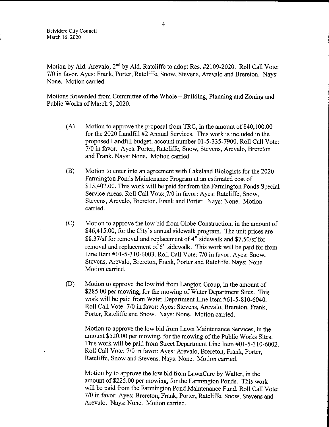Belvidere City Council March 16, 2020

Motion by Ald. Arevalo, 2<sup>nd</sup> by Ald. Ratcliffe to adopt Res. #2109-2020. Roll Call Vote: 7/0 in favor. Ayes: Frank, Porter, Ratcliffe, Snow, Stevens, Arevalo and Brereton. Nays: None. Motion carried.

Motions forwarded from Committee of the Whole— Building, Planning and Zoning and Public Works of March 9, 2020.

- $(A)$  Motion to approve the proposal from TRC, in the amount of \$40,100.00 for the 2020 Landfill #2 Annual Services. This work is included in the proposed Landfill budget, account number 01-5-335-7900. Roll Call Vote: 7/0 in favor. Ayes: Porter, Ratcliffe, Snow, Stevens, Arevalo, Brereton and Frank. Nays: None. Motion carried.
- B) Motion to enter into an agreement with Lakeland Biologists for the 2020 Farmington Ponds Maintenance Program at an estimated cost of 15, 402.00. This work will be paid for from the Farmington Ponds Special Service Areas. Roll Call Vote: 7/0 in favor: Ayes: Ratcliffe, Snow, Stevens, Arevalo, Brereton, Frank and Porter. Nays: None. Motion carried.
- C) Motion to approve the low bid from Globe Construction, in the amount of \$46,415.00, for the City's annual sidewalk program. The unit prices are \$8.37/sf for removal and replacement of 4" sidewalk and \$7.50/sf for removal and replacement of 6" sidewalk. This work will be paid for from Line Item  $\#01 - 5 - 310 - 6003$ . Roll Call Vote: 7/0 in favor: Ayes: Snow, Stevens, Arevalo, Brereton, Frank, Porter and Ratcliffe. Nays: None. Motion carried.
- D) Motion to approve the low bid from Langton Group, in the amount of 285. 00 per mowing, for the mowing of Water Department Sites. This work will be paid from Water Department Line Item # 61-5-810-6040. Roll Call Vote: 7/0 in favor: Ayes: Stevens, Arevalo, Brereton, Frank, Porter, Ratcliffe and Snow. Nays: None. Motion carried.

Motion to approve the low bid from Lawn Maintenance Services, in the amount \$ 520. 00 per mowing, for the mowing of the Public Works Sites. This work will be paid from Street Department Line Item #01-5-310-6002. Roll Call Vote: 7/0 in favor: Ayes: Arevalo, Brereton, Frank, Porter, Ratcliffe, Snow and Stevens. Nays: None. Motion carried.

Motion by to approve the low bid from LawnCare by Walter, in the amount of \$225.00 per mowing, for the Farmington Ponds. This work will be paid from the Farmington Pond Maintenance Fund. Roll Call Vote: 7/0 in favor: Ayes: Brereton, Frank, Porter, Ratcliffe, Snow, Stevens and Arevalo. Nays: None. Motion carried.